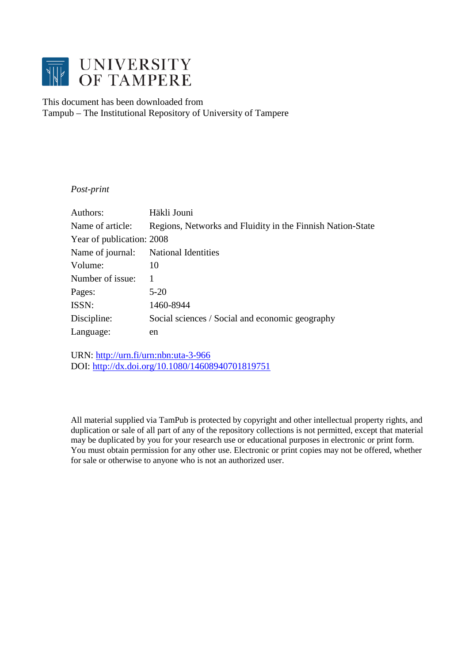

## This document has been downloaded from Tampub – The Institutional Repository of University of Tampere

### *Post-print*

| Authors:                             | Häkli Jouni                                                |
|--------------------------------------|------------------------------------------------------------|
| Name of article:                     | Regions, Networks and Fluidity in the Finnish Nation-State |
| Year of publication: 2008            |                                                            |
| Name of journal: National Identities |                                                            |
| Volume:                              | 10                                                         |
| Number of issue:                     |                                                            |
| Pages:                               | $5-20$                                                     |
| ISSN:                                | 1460-8944                                                  |
| Discipline:                          | Social sciences / Social and economic geography            |
| Language:                            | en                                                         |
|                                      |                                                            |

URN:<http://urn.fi/urn:nbn:uta-3-966> DOI:<http://dx.doi.org/10.1080/14608940701819751>

All material supplied via TamPub is protected by copyright and other intellectual property rights, and duplication or sale of all part of any of the repository collections is not permitted, except that material may be duplicated by you for your research use or educational purposes in electronic or print form. You must obtain permission for any other use. Electronic or print copies may not be offered, whether for sale or otherwise to anyone who is not an authorized user.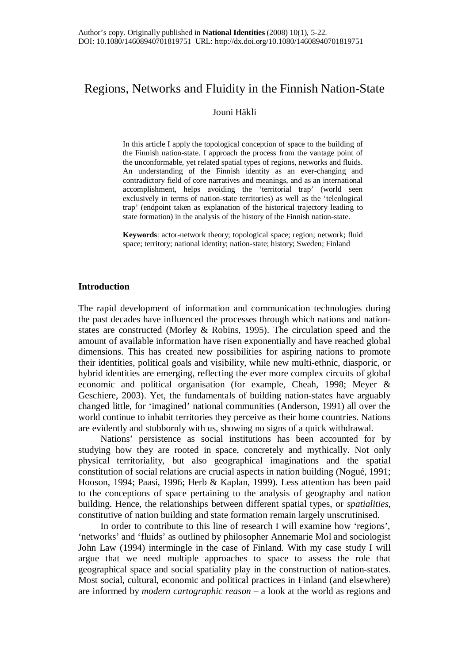# Regions, Networks and Fluidity in the Finnish Nation-State

#### Jouni Häkli

In this article I apply the topological conception of space to the building of the Finnish nation-state. I approach the process from the vantage point of the unconformable, yet related spatial types of regions, networks and fluids. An understanding of the Finnish identity as an ever-changing and contradictory field of core narratives and meanings, and as an international accomplishment, helps avoiding the 'territorial trap' (world seen exclusively in terms of nation-state territories) as well as the 'teleological trap' (endpoint taken as explanation of the historical trajectory leading to state formation) in the analysis of the history of the Finnish nation-state.

**Keywords**: actor-network theory; topological space; region; network; fluid space; territory; national identity; nation-state; history; Sweden; Finland

#### **Introduction**

The rapid development of information and communication technologies during the past decades have influenced the processes through which nations and nationstates are constructed (Morley & Robins, 1995). The circulation speed and the amount of available information have risen exponentially and have reached global dimensions. This has created new possibilities for aspiring nations to promote their identities, political goals and visibility, while new multi-ethnic, diasporic, or hybrid identities are emerging, reflecting the ever more complex circuits of global economic and political organisation (for example, Cheah, 1998; Meyer & Geschiere, 2003). Yet, the fundamentals of building nation-states have arguably changed little, for 'imagined' national communities (Anderson, 1991) all over the world continue to inhabit territories they perceive as their home countries. Nations are evidently and stubbornly with us, showing no signs of a quick withdrawal.

Nations' persistence as social institutions has been accounted for by studying how they are rooted in space, concretely and mythically. Not only physical territoriality, but also geographical imaginations and the spatial constitution of social relations are crucial aspects in nation building (Nogué, 1991; Hooson, 1994; Paasi, 1996; Herb & Kaplan, 1999). Less attention has been paid to the conceptions of space pertaining to the analysis of geography and nation building. Hence, the relationships between different spatial types, or *spatialities,* constitutive of nation building and state formation remain largely unscrutinised.

In order to contribute to this line of research I will examine how 'regions', 'networks' and 'fluids' as outlined by philosopher Annemarie Mol and sociologist John Law (1994) intermingle in the case of Finland. With my case study I will argue that we need multiple approaches to space to assess the role that geographical space and social spatiality play in the construction of nation-states. Most social, cultural, economic and political practices in Finland (and elsewhere) are informed by *modern cartographic reason* – a look at the world as regions and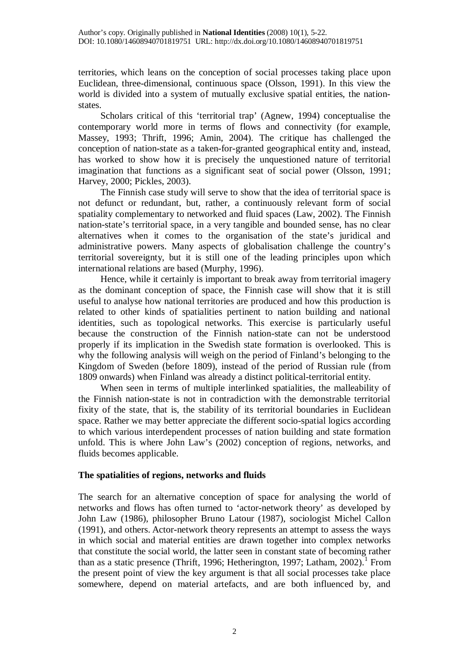territories, which leans on the conception of social processes taking place upon Euclidean, three-dimensional, continuous space (Olsson, 1991). In this view the world is divided into a system of mutually exclusive spatial entities, the nationstates.

Scholars critical of this 'territorial trap' (Agnew, 1994) conceptualise the contemporary world more in terms of flows and connectivity (for example, Massey, 1993; Thrift, 1996; Amin, 2004). The critique has challenged the conception of nation-state as a taken-for-granted geographical entity and, instead, has worked to show how it is precisely the unquestioned nature of territorial imagination that functions as a significant seat of social power (Olsson, 1991; Harvey, 2000; Pickles, 2003).

The Finnish case study will serve to show that the idea of territorial space is not defunct or redundant, but, rather, a continuously relevant form of social spatiality complementary to networked and fluid spaces (Law, 2002). The Finnish nation-state's territorial space, in a very tangible and bounded sense, has no clear alternatives when it comes to the organisation of the state's juridical and administrative powers. Many aspects of globalisation challenge the country's territorial sovereignty, but it is still one of the leading principles upon which international relations are based (Murphy, 1996).

Hence, while it certainly is important to break away from territorial imagery as the dominant conception of space, the Finnish case will show that it is still useful to analyse how national territories are produced and how this production is related to other kinds of spatialities pertinent to nation building and national identities, such as topological networks. This exercise is particularly useful because the construction of the Finnish nation-state can not be understood properly if its implication in the Swedish state formation is overlooked. This is why the following analysis will weigh on the period of Finland's belonging to the Kingdom of Sweden (before 1809), instead of the period of Russian rule (from 1809 onwards) when Finland was already a distinct political-territorial entity.

When seen in terms of multiple interlinked spatialities, the malleability of the Finnish nation-state is not in contradiction with the demonstrable territorial fixity of the state, that is, the stability of its territorial boundaries in Euclidean space. Rather we may better appreciate the different socio-spatial logics according to which various interdependent processes of nation building and state formation unfold. This is where John Law's (2002) conception of regions, networks, and fluids becomes applicable.

#### **The spatialities of regions, networks and fluids**

The search for an alternative conception of space for analysing the world of networks and flows has often turned to 'actor-network theory' as developed by John Law (1986), philosopher Bruno Latour (1987), sociologist Michel Callon (1991), and others. Actor-network theory represents an attempt to assess the ways in which social and material entities are drawn together into complex networks that constitute the social world, the latter seen in constant state of becoming rather than as a static presence (Thrift, 1996; Hetherington, 1997; Latham, 2002).<sup>1</sup> From the present point of view the key argument is that all social processes take place somewhere, depend on material artefacts, and are both influenced by, and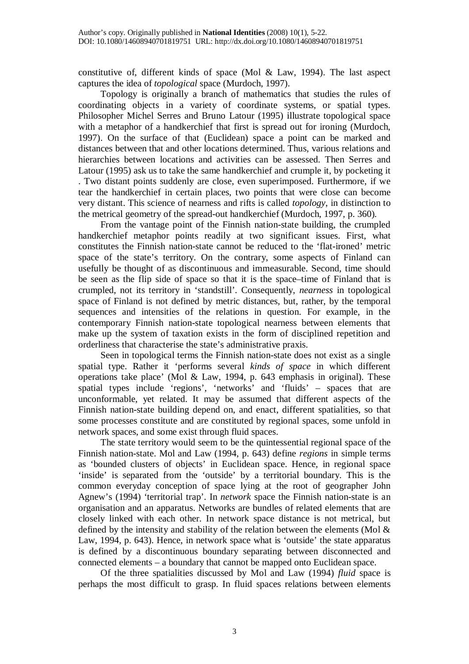constitutive of, different kinds of space (Mol & Law, 1994). The last aspect captures the idea of *topological* space (Murdoch, 1997).

Topology is originally a branch of mathematics that studies the rules of coordinating objects in a variety of coordinate systems, or spatial types. Philosopher Michel Serres and Bruno Latour (1995) illustrate topological space with a metaphor of a handkerchief that first is spread out for ironing (Murdoch, 1997). On the surface of that (Euclidean) space a point can be marked and distances between that and other locations determined. Thus, various relations and hierarchies between locations and activities can be assessed. Then Serres and Latour (1995) ask us to take the same handkerchief and crumple it, by pocketing it . Two distant points suddenly are close, even superimposed. Furthermore, if we tear the handkerchief in certain places, two points that were close can become very distant. This science of nearness and rifts is called *topology*, in distinction to the metrical geometry of the spread-out handkerchief (Murdoch, 1997, p. 360).

From the vantage point of the Finnish nation-state building, the crumpled handkerchief metaphor points readily at two significant issues. First, what constitutes the Finnish nation-state cannot be reduced to the 'flat-ironed' metric space of the state's territory. On the contrary, some aspects of Finland can usefully be thought of as discontinuous and immeasurable. Second, time should be seen as the flip side of space so that it is the space–time of Finland that is crumpled, not its territory in 'standstill'. Consequently, *nearness* in topological space of Finland is not defined by metric distances, but, rather, by the temporal sequences and intensities of the relations in question. For example, in the contemporary Finnish nation-state topological nearness between elements that make up the system of taxation exists in the form of disciplined repetition and orderliness that characterise the state's administrative praxis.

Seen in topological terms the Finnish nation-state does not exist as a single spatial type. Rather it 'performs several *kinds of space* in which different operations take place' (Mol & Law, 1994, p. 643 emphasis in original). These spatial types include 'regions', 'networks' and 'fluids' – spaces that are unconformable, yet related. It may be assumed that different aspects of the Finnish nation-state building depend on, and enact, different spatialities, so that some processes constitute and are constituted by regional spaces, some unfold in network spaces, and some exist through fluid spaces.

The state territory would seem to be the quintessential regional space of the Finnish nation-state. Mol and Law (1994, p. 643) define *regions* in simple terms as 'bounded clusters of objects' in Euclidean space. Hence, in regional space 'inside' is separated from the 'outside' by a territorial boundary. This is the common everyday conception of space lying at the root of geographer John Agnew's (1994) 'territorial trap'. In *network* space the Finnish nation-state is an organisation and an apparatus. Networks are bundles of related elements that are closely linked with each other. In network space distance is not metrical, but defined by the intensity and stability of the relation between the elements (Mol & Law, 1994, p. 643). Hence, in network space what is 'outside' the state apparatus is defined by a discontinuous boundary separating between disconnected and connected elements – a boundary that cannot be mapped onto Euclidean space.

Of the three spatialities discussed by Mol and Law (1994) *fluid* space is perhaps the most difficult to grasp. In fluid spaces relations between elements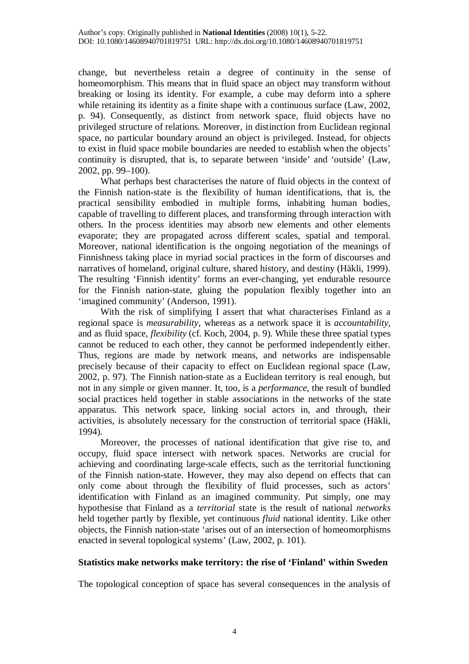change, but nevertheless retain a degree of continuity in the sense of homeomorphism. This means that in fluid space an object may transform without breaking or losing its identity. For example, a cube may deform into a sphere while retaining its identity as a finite shape with a continuous surface (Law, 2002, p. 94). Consequently, as distinct from network space, fluid objects have no privileged structure of relations. Moreover, in distinction from Euclidean regional space, no particular boundary around an object is privileged. Instead, for objects to exist in fluid space mobile boundaries are needed to establish when the objects' continuity is disrupted, that is, to separate between 'inside' and 'outside' (Law, 2002, pp. 99–100).

What perhaps best characterises the nature of fluid objects in the context of the Finnish nation-state is the flexibility of human identifications, that is, the practical sensibility embodied in multiple forms, inhabiting human bodies, capable of travelling to different places, and transforming through interaction with others. In the process identities may absorb new elements and other elements evaporate; they are propagated across different scales, spatial and temporal. Moreover, national identification is the ongoing negotiation of the meanings of Finnishness taking place in myriad social practices in the form of discourses and narratives of homeland, original culture, shared history, and destiny (Häkli, 1999). The resulting 'Finnish identity' forms an ever-changing, yet endurable resource for the Finnish nation-state, gluing the population flexibly together into an 'imagined community' (Anderson, 1991).

With the risk of simplifying I assert that what characterises Finland as a regional space is *measurability,* whereas as a network space it is *accountability*, and as fluid space, *flexibility* (cf. Koch, 2004, p. 9). While these three spatial types cannot be reduced to each other, they cannot be performed independently either. Thus, regions are made by network means, and networks are indispensable precisely because of their capacity to effect on Euclidean regional space (Law, 2002, p. 97). The Finnish nation-state as a Euclidean territory is real enough, but not in any simple or given manner. It, too, is a *performance*, the result of bundled social practices held together in stable associations in the networks of the state apparatus. This network space, linking social actors in, and through, their activities, is absolutely necessary for the construction of territorial space (Häkli, 1994).

Moreover, the processes of national identification that give rise to, and occupy, fluid space intersect with network spaces. Networks are crucial for achieving and coordinating large-scale effects, such as the territorial functioning of the Finnish nation-state. However, they may also depend on effects that can only come about through the flexibility of fluid processes, such as actors' identification with Finland as an imagined community. Put simply, one may hypothesise that Finland as a *territorial* state is the result of national *networks* held together partly by flexible, yet continuous *fluid* national identity. Like other objects, the Finnish nation-state 'arises out of an intersection of homeomorphisms enacted in several topological systems' (Law, 2002, p. 101).

### **Statistics make networks make territory: the rise of 'Finland' within Sweden**

The topological conception of space has several consequences in the analysis of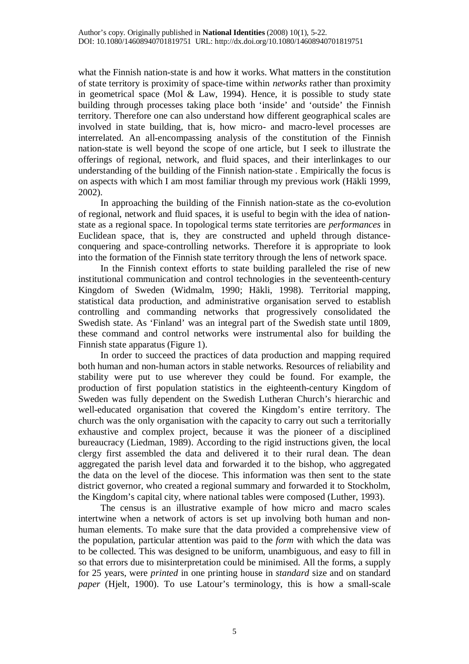what the Finnish nation-state is and how it works. What matters in the constitution of state territory is proximity of space-time within *networks* rather than proximity in geometrical space (Mol & Law, 1994). Hence, it is possible to study state building through processes taking place both 'inside' and 'outside' the Finnish territory. Therefore one can also understand how different geographical scales are involved in state building, that is, how micro- and macro-level processes are interrelated. An all-encompassing analysis of the constitution of the Finnish nation-state is well beyond the scope of one article, but I seek to illustrate the offerings of regional, network, and fluid spaces, and their interlinkages to our understanding of the building of the Finnish nation-state . Empirically the focus is on aspects with which I am most familiar through my previous work (Häkli 1999, 2002).

In approaching the building of the Finnish nation-state as the co-evolution of regional, network and fluid spaces, it is useful to begin with the idea of nationstate as a regional space. In topological terms state territories are *performances* in Euclidean space, that is, they are constructed and upheld through distanceconquering and space-controlling networks. Therefore it is appropriate to look into the formation of the Finnish state territory through the lens of network space.

In the Finnish context efforts to state building paralleled the rise of new institutional communication and control technologies in the seventeenth-century Kingdom of Sweden (Widmalm, 1990; Häkli, 1998). Territorial mapping, statistical data production, and administrative organisation served to establish controlling and commanding networks that progressively consolidated the Swedish state. As 'Finland' was an integral part of the Swedish state until 1809, these command and control networks were instrumental also for building the Finnish state apparatus (Figure 1).

In order to succeed the practices of data production and mapping required both human and non-human actors in stable networks. Resources of reliability and stability were put to use wherever they could be found. For example, the production of first population statistics in the eighteenth-century Kingdom of Sweden was fully dependent on the Swedish Lutheran Church's hierarchic and well-educated organisation that covered the Kingdom's entire territory. The church was the only organisation with the capacity to carry out such a territorially exhaustive and complex project, because it was the pioneer of a disciplined bureaucracy (Liedman, 1989). According to the rigid instructions given, the local clergy first assembled the data and delivered it to their rural dean. The dean aggregated the parish level data and forwarded it to the bishop, who aggregated the data on the level of the diocese. This information was then sent to the state district governor, who created a regional summary and forwarded it to Stockholm, the Kingdom's capital city, where national tables were composed (Luther, 1993).

The census is an illustrative example of how micro and macro scales intertwine when a network of actors is set up involving both human and nonhuman elements. To make sure that the data provided a comprehensive view of the population, particular attention was paid to the *form* with which the data was to be collected. This was designed to be uniform, unambiguous, and easy to fill in so that errors due to misinterpretation could be minimised. All the forms, a supply for 25 years, were *printed* in one printing house in *standard* size and on standard *paper* (Hjelt, 1900). To use Latour's terminology, this is how a small-scale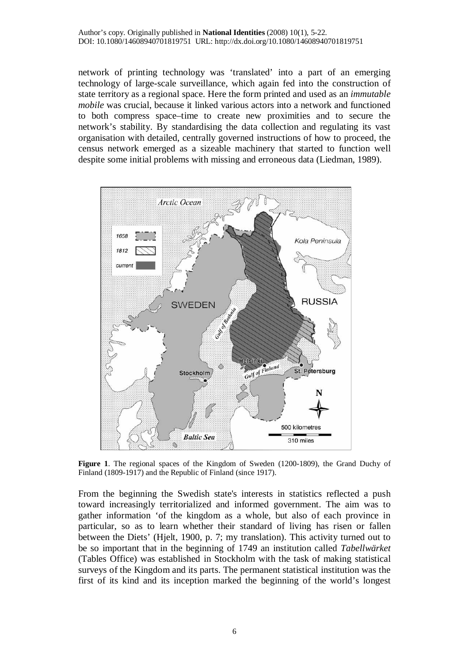network of printing technology was 'translated' into a part of an emerging technology of large-scale surveillance, which again fed into the construction of state territory as a regional space. Here the form printed and used as an *immutable mobile* was crucial, because it linked various actors into a network and functioned to both compress space–time to create new proximities and to secure the network's stability. By standardising the data collection and regulating its vast organisation with detailed, centrally governed instructions of how to proceed, the census network emerged as a sizeable machinery that started to function well despite some initial problems with missing and erroneous data (Liedman, 1989).



**Figure 1**. The regional spaces of the Kingdom of Sweden (1200-1809), the Grand Duchy of Finland (1809-1917) and the Republic of Finland (since 1917).

From the beginning the Swedish state's interests in statistics reflected a push toward increasingly territorialized and informed government. The aim was to gather information 'of the kingdom as a whole, but also of each province in particular, so as to learn whether their standard of living has risen or fallen between the Diets' (Hjelt, 1900, p. 7; my translation). This activity turned out to be so important that in the beginning of 1749 an institution called *Tabellwärket* (Tables Office) was established in Stockholm with the task of making statistical surveys of the Kingdom and its parts. The permanent statistical institution was the first of its kind and its inception marked the beginning of the world's longest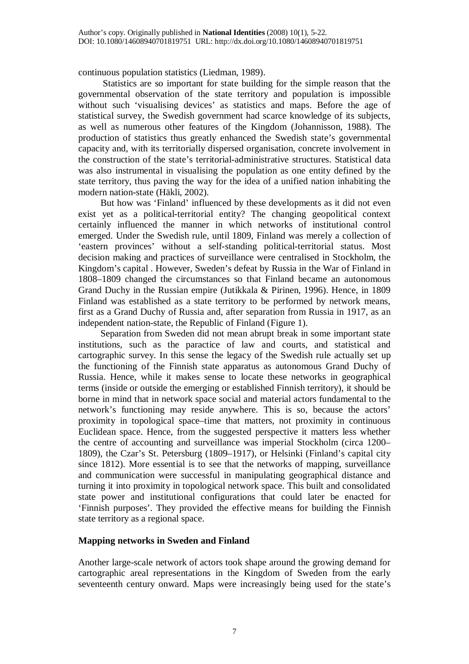continuous population statistics (Liedman, 1989).

 Statistics are so important for state building for the simple reason that the governmental observation of the state territory and population is impossible without such 'visualising devices' as statistics and maps. Before the age of statistical survey, the Swedish government had scarce knowledge of its subjects, as well as numerous other features of the Kingdom (Johannisson, 1988). The production of statistics thus greatly enhanced the Swedish state's governmental capacity and, with its territorially dispersed organisation, concrete involvement in the construction of the state's territorial-administrative structures. Statistical data was also instrumental in visualising the population as one entity defined by the state territory, thus paving the way for the idea of a unified nation inhabiting the modern nation-state (Häkli, 2002).

But how was 'Finland' influenced by these developments as it did not even exist yet as a political-territorial entity? The changing geopolitical context certainly influenced the manner in which networks of institutional control emerged. Under the Swedish rule, until 1809, Finland was merely a collection of 'eastern provinces' without a self-standing political-territorial status. Most decision making and practices of surveillance were centralised in Stockholm, the Kingdom's capital . However, Sweden's defeat by Russia in the War of Finland in 1808–1809 changed the circumstances so that Finland became an autonomous Grand Duchy in the Russian empire (Jutikkala & Pirinen, 1996). Hence, in 1809 Finland was established as a state territory to be performed by network means, first as a Grand Duchy of Russia and, after separation from Russia in 1917, as an independent nation-state, the Republic of Finland (Figure 1).

Separation from Sweden did not mean abrupt break in some important state institutions, such as the paractice of law and courts, and statistical and cartographic survey. In this sense the legacy of the Swedish rule actually set up the functioning of the Finnish state apparatus as autonomous Grand Duchy of Russia. Hence, while it makes sense to locate these networks in geographical terms (inside or outside the emerging or established Finnish territory), it should be borne in mind that in network space social and material actors fundamental to the network's functioning may reside anywhere. This is so, because the actors' proximity in topological space–time that matters, not proximity in continuous Euclidean space. Hence, from the suggested perspective it matters less whether the centre of accounting and surveillance was imperial Stockholm (circa 1200– 1809), the Czar's St. Petersburg (1809–1917), or Helsinki (Finland's capital city since 1812). More essential is to see that the networks of mapping, surveillance and communication were successful in manipulating geographical distance and turning it into proximity in topological network space. This built and consolidated state power and institutional configurations that could later be enacted for 'Finnish purposes'. They provided the effective means for building the Finnish state territory as a regional space.

### **Mapping networks in Sweden and Finland**

Another large-scale network of actors took shape around the growing demand for cartographic areal representations in the Kingdom of Sweden from the early seventeenth century onward. Maps were increasingly being used for the state's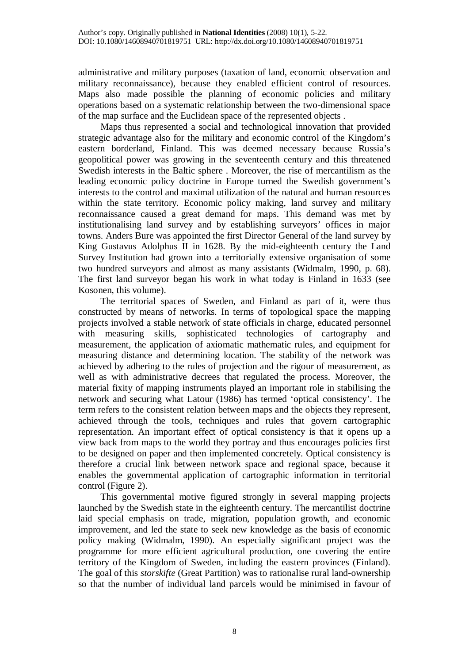administrative and military purposes (taxation of land, economic observation and military reconnaissance), because they enabled efficient control of resources. Maps also made possible the planning of economic policies and military operations based on a systematic relationship between the two-dimensional space of the map surface and the Euclidean space of the represented objects .

Maps thus represented a social and technological innovation that provided strategic advantage also for the military and economic control of the Kingdom's eastern borderland, Finland. This was deemed necessary because Russia's geopolitical power was growing in the seventeenth century and this threatened Swedish interests in the Baltic sphere . Moreover, the rise of mercantilism as the leading economic policy doctrine in Europe turned the Swedish government's interests to the control and maximal utilization of the natural and human resources within the state territory. Economic policy making, land survey and military reconnaissance caused a great demand for maps. This demand was met by institutionalising land survey and by establishing surveyors' offices in major towns. Anders Bure was appointed the first Director General of the land survey by King Gustavus Adolphus II in 1628. By the mid-eighteenth century the Land Survey Institution had grown into a territorially extensive organisation of some two hundred surveyors and almost as many assistants (Widmalm, 1990, p. 68). The first land surveyor began his work in what today is Finland in 1633 (see Kosonen, this volume).

The territorial spaces of Sweden, and Finland as part of it, were thus constructed by means of networks. In terms of topological space the mapping projects involved a stable network of state officials in charge, educated personnel with measuring skills, sophisticated technologies of cartography and measurement, the application of axiomatic mathematic rules, and equipment for measuring distance and determining location. The stability of the network was achieved by adhering to the rules of projection and the rigour of measurement, as well as with administrative decrees that regulated the process. Moreover, the material fixity of mapping instruments played an important role in stabilising the network and securing what Latour (1986) has termed 'optical consistency'. The term refers to the consistent relation between maps and the objects they represent, achieved through the tools, techniques and rules that govern cartographic representation. An important effect of optical consistency is that it opens up a view back from maps to the world they portray and thus encourages policies first to be designed on paper and then implemented concretely. Optical consistency is therefore a crucial link between network space and regional space, because it enables the governmental application of cartographic information in territorial control (Figure 2).

This governmental motive figured strongly in several mapping projects launched by the Swedish state in the eighteenth century. The mercantilist doctrine laid special emphasis on trade, migration, population growth, and economic improvement, and led the state to seek new knowledge as the basis of economic policy making (Widmalm, 1990). An especially significant project was the programme for more efficient agricultural production, one covering the entire territory of the Kingdom of Sweden, including the eastern provinces (Finland). The goal of this *storskifte* (Great Partition) was to rationalise rural land-ownership so that the number of individual land parcels would be minimised in favour of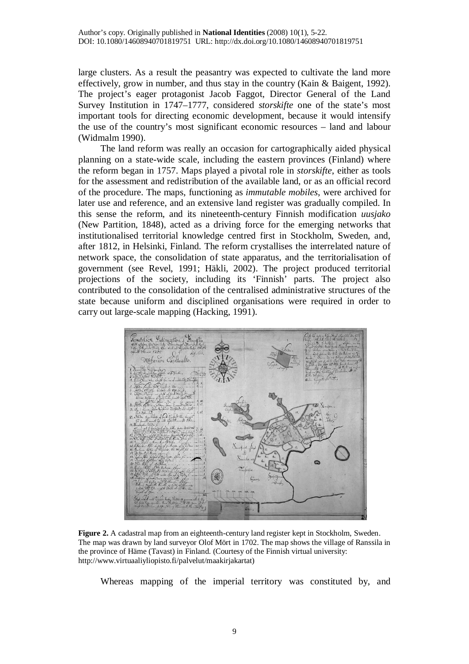large clusters. As a result the peasantry was expected to cultivate the land more effectively, grow in number, and thus stay in the country (Kain & Baigent, 1992). The project's eager protagonist Jacob Faggot, Director General of the Land Survey Institution in 1747–1777, considered *storskifte* one of the state's most important tools for directing economic development, because it would intensify the use of the country's most significant economic resources – land and labour (Widmalm 1990).

The land reform was really an occasion for cartographically aided physical planning on a state-wide scale, including the eastern provinces (Finland) where the reform began in 1757. Maps played a pivotal role in *storskifte*, either as tools for the assessment and redistribution of the available land, or as an official record of the procedure. The maps, functioning as *immutable mobiles*, were archived for later use and reference, and an extensive land register was gradually compiled. In this sense the reform, and its nineteenth-century Finnish modification *uusjako* (New Partition, 1848), acted as a driving force for the emerging networks that institutionalised territorial knowledge centred first in Stockholm, Sweden, and, after 1812, in Helsinki, Finland. The reform crystallises the interrelated nature of network space, the consolidation of state apparatus, and the territorialisation of government (see Revel, 1991; Häkli, 2002). The project produced territorial projections of the society, including its 'Finnish' parts. The project also contributed to the consolidation of the centralised administrative structures of the state because uniform and disciplined organisations were required in order to carry out large-scale mapping (Hacking, 1991).



**Figure 2.** A cadastral map from an eighteenth-century land register kept in Stockholm, Sweden. The map was drawn by land surveyor Olof Mört in 1702. The map shows the village of Ranssila in the province of Häme (Tavast) in Finland. (Courtesy of the Finnish virtual university: http://www.virtuaaliyliopisto.fi/palvelut/maakirjakartat)

Whereas mapping of the imperial territory was constituted by, and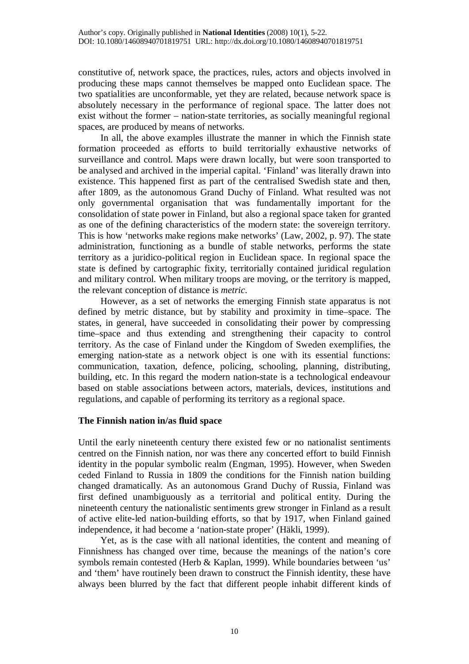constitutive of, network space, the practices, rules, actors and objects involved in producing these maps cannot themselves be mapped onto Euclidean space. The two spatialities are unconformable, yet they are related, because network space is absolutely necessary in the performance of regional space. The latter does not exist without the former – nation-state territories, as socially meaningful regional spaces, are produced by means of networks.

In all, the above examples illustrate the manner in which the Finnish state formation proceeded as efforts to build territorially exhaustive networks of surveillance and control. Maps were drawn locally, but were soon transported to be analysed and archived in the imperial capital. 'Finland' was literally drawn into existence. This happened first as part of the centralised Swedish state and then, after 1809, as the autonomous Grand Duchy of Finland. What resulted was not only governmental organisation that was fundamentally important for the consolidation of state power in Finland, but also a regional space taken for granted as one of the defining characteristics of the modern state: the sovereign territory. This is how 'networks make regions make networks' (Law, 2002, p. 97). The state administration, functioning as a bundle of stable networks, performs the state territory as a juridico-political region in Euclidean space. In regional space the state is defined by cartographic fixity, territorially contained juridical regulation and military control. When military troops are moving, or the territory is mapped, the relevant conception of distance is *metric*.

However, as a set of networks the emerging Finnish state apparatus is not defined by metric distance, but by stability and proximity in time–space. The states, in general, have succeeded in consolidating their power by compressing time–space and thus extending and strengthening their capacity to control territory. As the case of Finland under the Kingdom of Sweden exemplifies, the emerging nation-state as a network object is one with its essential functions: communication, taxation, defence, policing, schooling, planning, distributing, building, etc. In this regard the modern nation-state is a technological endeavour based on stable associations between actors, materials, devices, institutions and regulations, and capable of performing its territory as a regional space.

### **The Finnish nation in/as fluid space**

Until the early nineteenth century there existed few or no nationalist sentiments centred on the Finnish nation, nor was there any concerted effort to build Finnish identity in the popular symbolic realm (Engman, 1995). However, when Sweden ceded Finland to Russia in 1809 the conditions for the Finnish nation building changed dramatically. As an autonomous Grand Duchy of Russia, Finland was first defined unambiguously as a territorial and political entity. During the nineteenth century the nationalistic sentiments grew stronger in Finland as a result of active elite-led nation-building efforts, so that by 1917, when Finland gained independence, it had become a 'nation-state proper' (Häkli, 1999).

Yet, as is the case with all national identities, the content and meaning of Finnishness has changed over time, because the meanings of the nation's core symbols remain contested (Herb & Kaplan, 1999). While boundaries between 'us' and 'them' have routinely been drawn to construct the Finnish identity, these have always been blurred by the fact that different people inhabit different kinds of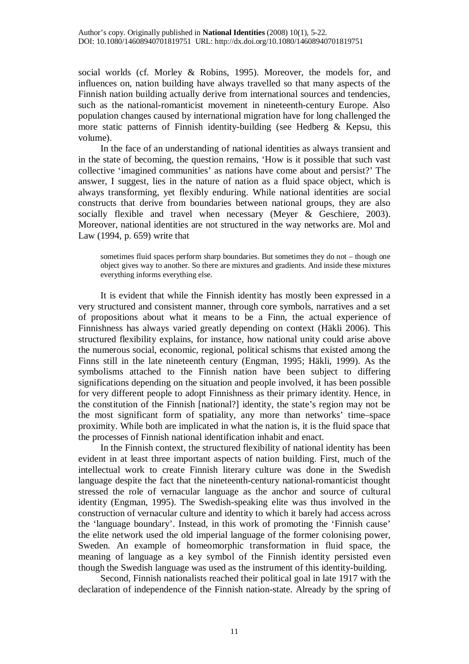social worlds (cf. Morley & Robins, 1995). Moreover, the models for, and influences on, nation building have always travelled so that many aspects of the Finnish nation building actually derive from international sources and tendencies, such as the national-romanticist movement in nineteenth-century Europe. Also population changes caused by international migration have for long challenged the more static patterns of Finnish identity-building (see Hedberg  $\&$  Kepsu, this volume).

In the face of an understanding of national identities as always transient and in the state of becoming, the question remains, 'How is it possible that such vast collective 'imagined communities' as nations have come about and persist?' The answer, I suggest, lies in the nature of nation as a fluid space object, which is always transforming, yet flexibly enduring. While national identities are social constructs that derive from boundaries between national groups, they are also socially flexible and travel when necessary (Meyer & Geschiere, 2003). Moreover, national identities are not structured in the way networks are. Mol and Law (1994, p. 659) write that

sometimes fluid spaces perform sharp boundaries. But sometimes they do not – though one object gives way to another. So there are mixtures and gradients. And inside these mixtures everything informs everything else.

It is evident that while the Finnish identity has mostly been expressed in a very structured and consistent manner, through core symbols, narratives and a set of propositions about what it means to be a Finn, the actual experience of Finnishness has always varied greatly depending on context (Häkli 2006). This structured flexibility explains, for instance, how national unity could arise above the numerous social, economic, regional, political schisms that existed among the Finns still in the late nineteenth century (Engman, 1995; Häkli, 1999). As the symbolisms attached to the Finnish nation have been subject to differing significations depending on the situation and people involved, it has been possible for very different people to adopt Finnishness as their primary identity. Hence, in the constitution of the Finnish [national?] identity, the state's region may not be the most significant form of spatiality, any more than networks' time–space proximity. While both are implicated in what the nation is, it is the fluid space that the processes of Finnish national identification inhabit and enact.

In the Finnish context, the structured flexibility of national identity has been evident in at least three important aspects of nation building. First, much of the intellectual work to create Finnish literary culture was done in the Swedish language despite the fact that the nineteenth-century national-romanticist thought stressed the role of vernacular language as the anchor and source of cultural identity (Engman, 1995). The Swedish-speaking elite was thus involved in the construction of vernacular culture and identity to which it barely had access across the 'language boundary'. Instead, in this work of promoting the 'Finnish cause' the elite network used the old imperial language of the former colonising power, Sweden. An example of homeomorphic transformation in fluid space, the meaning of language as a key symbol of the Finnish identity persisted even though the Swedish language was used as the instrument of this identity-building.

Second, Finnish nationalists reached their political goal in late 1917 with the declaration of independence of the Finnish nation-state. Already by the spring of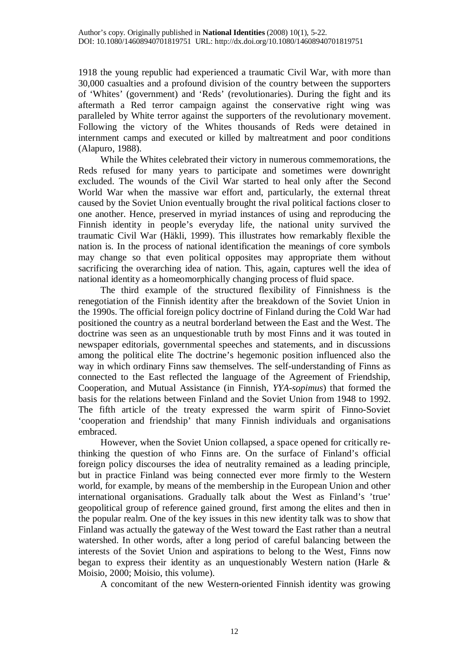1918 the young republic had experienced a traumatic Civil War, with more than 30,000 casualties and a profound division of the country between the supporters of 'Whites' (government) and 'Reds' (revolutionaries). During the fight and its aftermath a Red terror campaign against the conservative right wing was paralleled by White terror against the supporters of the revolutionary movement. Following the victory of the Whites thousands of Reds were detained in internment camps and executed or killed by maltreatment and poor conditions (Alapuro, 1988).

While the Whites celebrated their victory in numerous commemorations, the Reds refused for many years to participate and sometimes were downright excluded. The wounds of the Civil War started to heal only after the Second World War when the massive war effort and, particularly, the external threat caused by the Soviet Union eventually brought the rival political factions closer to one another. Hence, preserved in myriad instances of using and reproducing the Finnish identity in people's everyday life, the national unity survived the traumatic Civil War (Häkli, 1999). This illustrates how remarkably flexible the nation is. In the process of national identification the meanings of core symbols may change so that even political opposites may appropriate them without sacrificing the overarching idea of nation. This, again, captures well the idea of national identity as a homeomorphically changing process of fluid space.

The third example of the structured flexibility of Finnishness is the renegotiation of the Finnish identity after the breakdown of the Soviet Union in the 1990s. The official foreign policy doctrine of Finland during the Cold War had positioned the country as a neutral borderland between the East and the West. The doctrine was seen as an unquestionable truth by most Finns and it was touted in newspaper editorials, governmental speeches and statements, and in discussions among the political elite The doctrine's hegemonic position influenced also the way in which ordinary Finns saw themselves. The self-understanding of Finns as connected to the East reflected the language of the Agreement of Friendship, Cooperation, and Mutual Assistance (in Finnish, *YYA-sopimus*) that formed the basis for the relations between Finland and the Soviet Union from 1948 to 1992. The fifth article of the treaty expressed the warm spirit of Finno-Soviet 'cooperation and friendship' that many Finnish individuals and organisations embraced.

However, when the Soviet Union collapsed, a space opened for critically rethinking the question of who Finns are. On the surface of Finland's official foreign policy discourses the idea of neutrality remained as a leading principle, but in practice Finland was being connected ever more firmly to the Western world, for example, by means of the membership in the European Union and other international organisations. Gradually talk about the West as Finland's 'true' geopolitical group of reference gained ground, first among the elites and then in the popular realm. One of the key issues in this new identity talk was to show that Finland was actually the gateway of the West toward the East rather than a neutral watershed. In other words, after a long period of careful balancing between the interests of the Soviet Union and aspirations to belong to the West, Finns now began to express their identity as an unquestionably Western nation (Harle & Moisio, 2000; Moisio, this volume).

A concomitant of the new Western-oriented Finnish identity was growing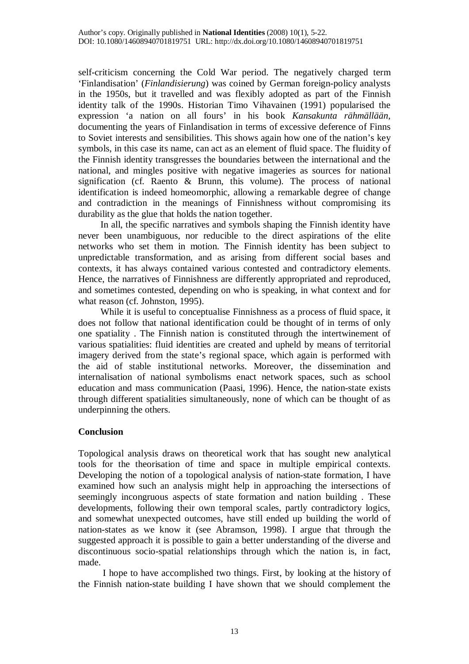self-criticism concerning the Cold War period. The negatively charged term 'Finlandisation' (*Finlandisierung*) was coined by German foreign-policy analysts in the 1950s, but it travelled and was flexibly adopted as part of the Finnish identity talk of the 1990s. Historian Timo Vihavainen (1991) popularised the expression 'a nation on all fours' in his book *Kansakunta rähmällään*, documenting the years of Finlandisation in terms of excessive deference of Finns to Soviet interests and sensibilities. This shows again how one of the nation's key symbols, in this case its name, can act as an element of fluid space. The fluidity of the Finnish identity transgresses the boundaries between the international and the national, and mingles positive with negative imageries as sources for national signification (cf. Raento & Brunn, this volume). The process of national identification is indeed homeomorphic, allowing a remarkable degree of change and contradiction in the meanings of Finnishness without compromising its durability as the glue that holds the nation together.

In all, the specific narratives and symbols shaping the Finnish identity have never been unambiguous, nor reducible to the direct aspirations of the elite networks who set them in motion. The Finnish identity has been subject to unpredictable transformation, and as arising from different social bases and contexts, it has always contained various contested and contradictory elements. Hence, the narratives of Finnishness are differently appropriated and reproduced, and sometimes contested, depending on who is speaking, in what context and for what reason (cf. Johnston, 1995).

While it is useful to conceptualise Finnishness as a process of fluid space, it does not follow that national identification could be thought of in terms of only one spatiality . The Finnish nation is constituted through the intertwinement of various spatialities: fluid identities are created and upheld by means of territorial imagery derived from the state's regional space, which again is performed with the aid of stable institutional networks. Moreover, the dissemination and internalisation of national symbolisms enact network spaces, such as school education and mass communication (Paasi, 1996). Hence, the nation-state exists through different spatialities simultaneously, none of which can be thought of as underpinning the others.

### **Conclusion**

Topological analysis draws on theoretical work that has sought new analytical tools for the theorisation of time and space in multiple empirical contexts. Developing the notion of a topological analysis of nation-state formation, I have examined how such an analysis might help in approaching the intersections of seemingly incongruous aspects of state formation and nation building . These developments, following their own temporal scales, partly contradictory logics, and somewhat unexpected outcomes, have still ended up building the world of nation-states as we know it (see Abramson, 1998). I argue that through the suggested approach it is possible to gain a better understanding of the diverse and discontinuous socio-spatial relationships through which the nation is, in fact, made.

 I hope to have accomplished two things. First, by looking at the history of the Finnish nation-state building I have shown that we should complement the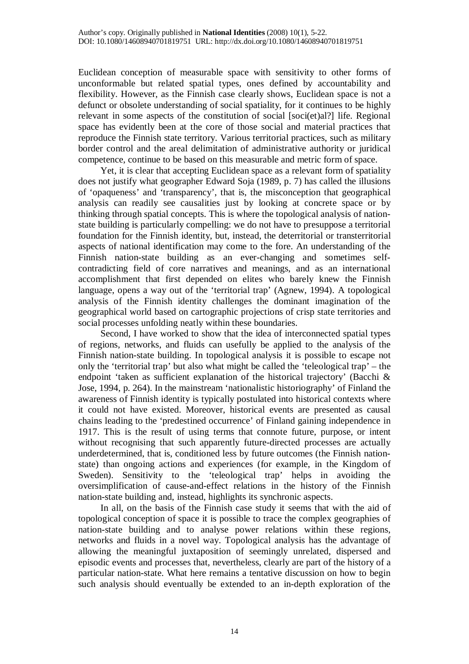Euclidean conception of measurable space with sensitivity to other forms of unconformable but related spatial types, ones defined by accountability and flexibility. However, as the Finnish case clearly shows, Euclidean space is not a defunct or obsolete understanding of social spatiality, for it continues to be highly relevant in some aspects of the constitution of social [soci(et)al?] life. Regional space has evidently been at the core of those social and material practices that reproduce the Finnish state territory. Various territorial practices, such as military border control and the areal delimitation of administrative authority or juridical competence, continue to be based on this measurable and metric form of space.

Yet, it is clear that accepting Euclidean space as a relevant form of spatiality does not justify what geographer Edward Soja (1989, p. 7) has called the illusions of 'opaqueness' and 'transparency', that is, the misconception that geographical analysis can readily see causalities just by looking at concrete space or by thinking through spatial concepts. This is where the topological analysis of nationstate building is particularly compelling: we do not have to presuppose a territorial foundation for the Finnish identity, but, instead, the deterritorial or transterritorial aspects of national identification may come to the fore. An understanding of the Finnish nation-state building as an ever-changing and sometimes selfcontradicting field of core narratives and meanings, and as an international accomplishment that first depended on elites who barely knew the Finnish language, opens a way out of the 'territorial trap' (Agnew, 1994). A topological analysis of the Finnish identity challenges the dominant imagination of the geographical world based on cartographic projections of crisp state territories and social processes unfolding neatly within these boundaries.

Second, I have worked to show that the idea of interconnected spatial types of regions, networks, and fluids can usefully be applied to the analysis of the Finnish nation-state building. In topological analysis it is possible to escape not only the 'territorial trap' but also what might be called the 'teleological trap' – the endpoint 'taken as sufficient explanation of the historical trajectory' (Bacchi & Jose, 1994, p. 264). In the mainstream 'nationalistic historiography' of Finland the awareness of Finnish identity is typically postulated into historical contexts where it could not have existed. Moreover, historical events are presented as causal chains leading to the 'predestined occurrence' of Finland gaining independence in 1917. This is the result of using terms that connote future, purpose, or intent without recognising that such apparently future-directed processes are actually underdetermined, that is, conditioned less by future outcomes (the Finnish nationstate) than ongoing actions and experiences (for example, in the Kingdom of Sweden). Sensitivity to the 'teleological trap' helps in avoiding the oversimplification of cause-and-effect relations in the history of the Finnish nation-state building and, instead, highlights its synchronic aspects.

In all, on the basis of the Finnish case study it seems that with the aid of topological conception of space it is possible to trace the complex geographies of nation-state building and to analyse power relations within these regions, networks and fluids in a novel way. Topological analysis has the advantage of allowing the meaningful juxtaposition of seemingly unrelated, dispersed and episodic events and processes that, nevertheless, clearly are part of the history of a particular nation-state. What here remains a tentative discussion on how to begin such analysis should eventually be extended to an in-depth exploration of the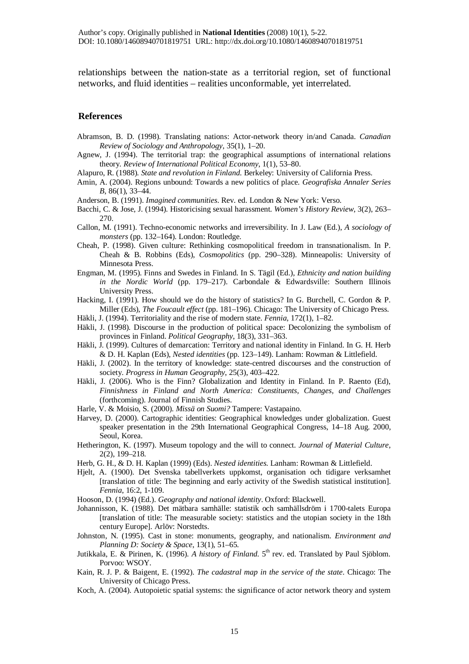relationships between the nation-state as a territorial region, set of functional networks, and fluid identities – realities unconformable, yet interrelated.

#### **References**

- Abramson, B. D. (1998). Translating nations: Actor-network theory in/and Canada. *Canadian Review of Sociology and Anthropology*, 35(1), 1–20.
- Agnew, J. (1994). The territorial trap: the geographical assumptions of international relations theory. *Review of International Political Economy*, 1(1), 53–80.
- Alapuro, R. (1988). *State and revolution in Finland*. Berkeley: University of California Press.
- Amin, A. (2004). Regions unbound: Towards a new politics of place. *Geografiska Annaler Series B*, 86(1), 33–44.
- Anderson, B. (1991). *Imagined communities*. Rev. ed. London & New York: Verso.
- Bacchi, C. & Jose, J. (1994). Historicising sexual harassment. *Women's History Review*, 3(2), 263– 270.
- Callon, M. (1991). Techno-economic networks and irreversibility. In J. Law (Ed.), *A sociology of monsters* (pp. 132–164). London: Routledge.
- Cheah, P. (1998). Given culture: Rethinking cosmopolitical freedom in transnationalism. In P. Cheah & B. Robbins (Eds), *Cosmopolitics* (pp. 290–328). Minneapolis: University of Minnesota Press.
- Engman, M. (1995). Finns and Swedes in Finland. In S. Tägil (Ed.), *Ethnicity and nation building in the Nordic World* (pp. 179–217). Carbondale & Edwardsville: Southern Illinois University Press.
- Hacking, I. (1991). How should we do the history of statistics? In G. Burchell, C. Gordon & P. Miller (Eds), *The Foucault effect* (pp. 181–196). Chicago: The University of Chicago Press.
- Häkli, J. (1994). Territoriality and the rise of modern state. *Fennia*, 172(1), 1–82.
- Häkli, J. (1998). Discourse in the production of political space: Decolonizing the symbolism of provinces in Finland. *Political Geography*, 18(3), 331–363.
- Häkli, J. (1999). Cultures of demarcation: Territory and national identity in Finland. In G. H. Herb & D. H. Kaplan (Eds), *Nested identities* (pp. 123–149). Lanham: Rowman & Littlefield.
- Häkli, J. (2002). In the territory of knowledge: state-centred discourses and the construction of society. *Progress in Human Geography*, 25(3), 403–422.
- Häkli, J. (2006). Who is the Finn? Globalization and Identity in Finland. In P. Raento (Ed), *Finnishness in Finland and North America: Constituents, Changes, and Challenges* (forthcoming). Journal of Finnish Studies.
- Harle, V. & Moisio, S. (2000). *Missä on Suomi?* Tampere: Vastapaino.
- Harvey, D. (2000). Cartographic identities: Geographical knowledges under globalization. Guest speaker presentation in the 29th International Geographical Congress, 14–18 Aug. 2000, Seoul, Korea.
- Hetherington, K. (1997). Museum topology and the will to connect. *Journal of Material Culture*, 2(2), 199–218.
- Herb, G. H., & D. H. Kaplan (1999) (Eds). *Nested identities*. Lanham: Rowman & Littlefield.
- Hjelt, A. (1900). Det Svenska tabellverkets uppkomst, organisation och tidigare verksamhet [translation of title: The beginning and early activity of the Swedish statistical institution]. *Fennia*, 16:2, 1-109.
- Hooson, D. (1994) (Ed.). *Geography and national identity*. Oxford: Blackwell.
- Johannisson, K. (1988). Det mätbara samhälle: statistik och samhällsdröm i 1700-talets Europa [translation of title: The measurable society: statistics and the utopian society in the 18th century Europe]. Arlöv: Norstedts.
- Johnston, N. (1995). Cast in stone: monuments, geography, and nationalism. *Environment and Planning D: Society & Space*, 13(1), 51–65.
- Jutikkala, E. & Pirinen, K. (1996). *A history of Finland*. 5th rev. ed. Translated by Paul Sjöblom. Porvoo: WSOY.
- Kain, R. J. P. & Baigent, E. (1992). *The cadastral map in the service of the state*. Chicago: The University of Chicago Press.
- Koch, A. (2004). Autopoietic spatial systems: the significance of actor network theory and system